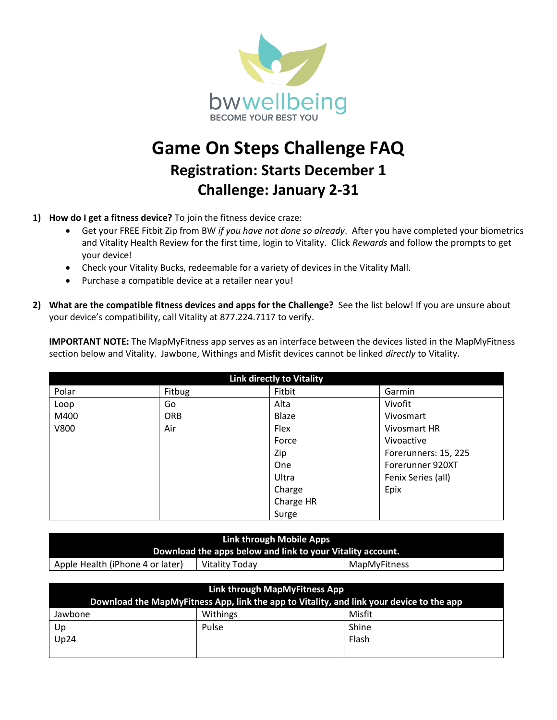

## **Game On Steps Challenge FAQ Registration: Starts December 1 Challenge: January 2-31**

- **1) How do I get a fitness device?** To join the fitness device craze:
	- Get your FREE Fitbit Zip from BW *if you have not done so already*. After you have completed your biometrics and Vitality Health Review for the first time, login to Vitality. Click *Rewards* and follow the prompts to get your device!
	- Check your Vitality Bucks, redeemable for a variety of devices in the Vitality Mall.
	- Purchase a compatible device at a retailer near you!
- **2) What are the compatible fitness devices and apps for the Challenge?** See the list below! If you are unsure about your device's compatibility, call Vitality at 877.224.7117 to verify.

**IMPORTANT NOTE:** The MapMyFitness app serves as an interface between the devices listed in the MapMyFitness section below and Vitality. Jawbone, Withings and Misfit devices cannot be linked *directly* to Vitality.

| <b>Link directly to Vitality</b> |            |           |                      |  |
|----------------------------------|------------|-----------|----------------------|--|
| Polar                            | Fitbug     | Fitbit    | Garmin               |  |
| Loop                             | Go         | Alta      | Vivofit              |  |
| M400                             | <b>ORB</b> | Blaze     | Vivosmart            |  |
| <b>V800</b>                      | Air        | Flex      | Vivosmart HR         |  |
|                                  |            | Force     | Vivoactive           |  |
|                                  |            | Zip       | Forerunners: 15, 225 |  |
|                                  |            | One       | Forerunner 920XT     |  |
|                                  |            | Ultra     | Fenix Series (all)   |  |
|                                  |            | Charge    | Epix                 |  |
|                                  |            | Charge HR |                      |  |
|                                  |            | Surge     |                      |  |

| Link through Mobile Apps                                   |                |              |  |  |  |
|------------------------------------------------------------|----------------|--------------|--|--|--|
| Download the apps below and link to your Vitality account. |                |              |  |  |  |
| Apple Health (iPhone 4 or later)                           | Vitality Today | MapMyFitness |  |  |  |

| Link through MapMyFitness App                                                            |          |        |  |  |
|------------------------------------------------------------------------------------------|----------|--------|--|--|
| Download the MapMyFitness App, link the app to Vitality, and link your device to the app |          |        |  |  |
| Jawbone                                                                                  | Withings | Misfit |  |  |
| Up                                                                                       | Pulse    | Shine  |  |  |
| Up24                                                                                     |          | Flash  |  |  |
|                                                                                          |          |        |  |  |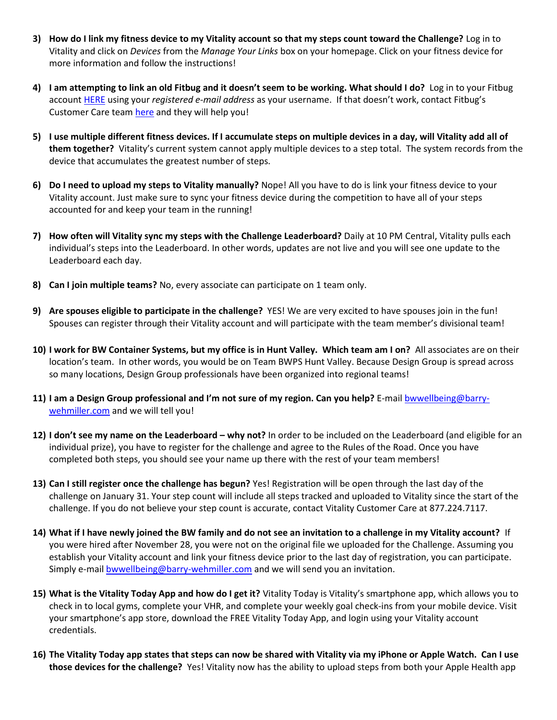- **3) How do I link my fitness device to my Vitality account so that my steps count toward the Challenge?** Log in to Vitality and click on *Devices* from the *Manage Your Links* box on your homepage. Click on your fitness device for more information and follow the instructions!
- **4) I am attempting to link an old Fitbug and it doesn't seem to be working. What should I do?** Log in to your Fitbug account [HERE](https://www.fitbug.com/g/v2/login.php) using your *registered e-mail address* as your username. If that doesn't work, contact Fitbug's Customer Care tea[m here](https://customercare.fitbug.com/) and they will help you!
- **5) I use multiple different fitness devices. If I accumulate steps on multiple devices in a day, will Vitality add all of them together?** Vitality's current system cannot apply multiple devices to a step total. The system records from the device that accumulates the greatest number of steps.
- **6) Do I need to upload my steps to Vitality manually?** Nope! All you have to do is link your fitness device to your Vitality account. Just make sure to sync your fitness device during the competition to have all of your steps accounted for and keep your team in the running!
- **7) How often will Vitality sync my steps with the Challenge Leaderboard?** Daily at 10 PM Central, Vitality pulls each individual's steps into the Leaderboard. In other words, updates are not live and you will see one update to the Leaderboard each day.
- **8) Can I join multiple teams?** No, every associate can participate on 1 team only.
- **9) Are spouses eligible to participate in the challenge?** YES! We are very excited to have spouses join in the fun! Spouses can register through their Vitality account and will participate with the team member's divisional team!
- **10) I work for BW Container Systems, but my office is in Hunt Valley. Which team am I on?** All associates are on their location's team. In other words, you would be on Team BWPS Hunt Valley. Because Design Group is spread across so many locations, Design Group professionals have been organized into regional teams!
- **11) I am a Design Group professional and I'm not sure of my region. Can you help?** E-mai[l bwwellbeing@barry](mailto:bwwellbeing@barry-wehmiller.com)[wehmiller.com](mailto:bwwellbeing@barry-wehmiller.com) and we will tell you!
- **12) I don't see my name on the Leaderboard – why not?** In order to be included on the Leaderboard (and eligible for an individual prize), you have to register for the challenge and agree to the Rules of the Road. Once you have completed both steps, you should see your name up there with the rest of your team members!
- **13) Can I still register once the challenge has begun?** Yes! Registration will be open through the last day of the challenge on January 31. Your step count will include all steps tracked and uploaded to Vitality since the start of the challenge. If you do not believe your step count is accurate, contact Vitality Customer Care at 877.224.7117.
- **14) What if I have newly joined the BW family and do not see an invitation to a challenge in my Vitality account?** If you were hired after November 28, you were not on the original file we uploaded for the Challenge. Assuming you establish your Vitality account and link your fitness device prior to the last day of registration, you can participate. Simply e-mai[l bwwellbeing@barry-wehmiller.com](mailto:bwwellbeing@barry-wehmiller.com) and we will send you an invitation.
- **15) What is the Vitality Today App and how do I get it?** Vitality Today is Vitality's smartphone app, which allows you to check in to local gyms, complete your VHR, and complete your weekly goal check-ins from your mobile device. Visit your smartphone's app store, download the FREE Vitality Today App, and login using your Vitality account credentials.
- **16) The Vitality Today app states that steps can now be shared with Vitality via my iPhone or Apple Watch. Can I use those devices for the challenge?** Yes! Vitality now has the ability to upload steps from both your Apple Health app